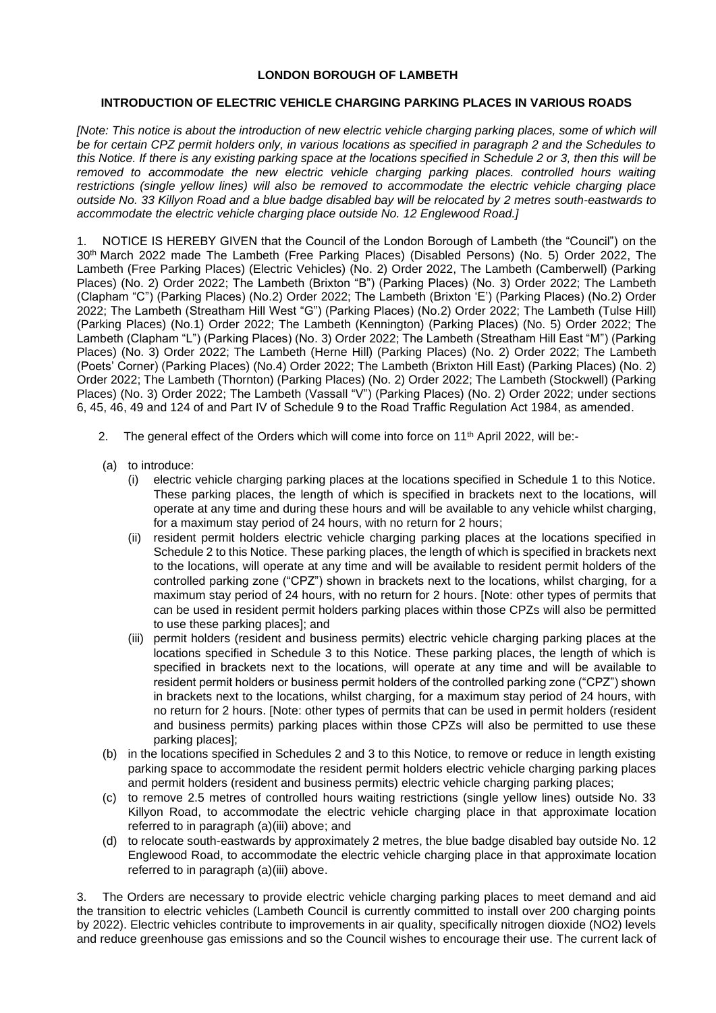## **LONDON BOROUGH OF LAMBETH**

## **INTRODUCTION OF ELECTRIC VEHICLE CHARGING PARKING PLACES IN VARIOUS ROADS**

*[Note: This notice is about the introduction of new electric vehicle charging parking places, some of which will be for certain CPZ permit holders only, in various locations as specified in paragraph 2 and the Schedules to this Notice. If there is any existing parking space at the locations specified in Schedule 2 or 3, then this will be removed to accommodate the new electric vehicle charging parking places. controlled hours waiting restrictions (single yellow lines) will also be removed to accommodate the electric vehicle charging place outside No. 33 Killyon Road and a blue badge disabled bay will be relocated by 2 metres south-eastwards to accommodate the electric vehicle charging place outside No. 12 Englewood Road.]*

1. NOTICE IS HEREBY GIVEN that the Council of the London Borough of Lambeth (the "Council") on the 30th March 2022 made The Lambeth (Free Parking Places) (Disabled Persons) (No. 5) Order 2022, The Lambeth (Free Parking Places) (Electric Vehicles) (No. 2) Order 2022, The Lambeth (Camberwell) (Parking Places) (No. 2) Order 2022; The Lambeth (Brixton "B") (Parking Places) (No. 3) Order 2022; The Lambeth (Clapham "C") (Parking Places) (No.2) Order 2022; The Lambeth (Brixton 'E') (Parking Places) (No.2) Order 2022; The Lambeth (Streatham Hill West "G") (Parking Places) (No.2) Order 2022; The Lambeth (Tulse Hill) (Parking Places) (No.1) Order 2022; The Lambeth (Kennington) (Parking Places) (No. 5) Order 2022; The Lambeth (Clapham "L") (Parking Places) (No. 3) Order 2022; The Lambeth (Streatham Hill East "M") (Parking Places) (No. 3) Order 2022; The Lambeth (Herne Hill) (Parking Places) (No. 2) Order 2022; The Lambeth (Poets' Corner) (Parking Places) (No.4) Order 2022; The Lambeth (Brixton Hill East) (Parking Places) (No. 2) Order 2022; The Lambeth (Thornton) (Parking Places) (No. 2) Order 2022; The Lambeth (Stockwell) (Parking Places) (No. 3) Order 2022; The Lambeth (Vassall "V") (Parking Places) (No. 2) Order 2022; under sections 6, 45, 46, 49 and 124 of and Part IV of Schedule 9 to the Road Traffic Regulation Act 1984, as amended.

- 2. The general effect of the Orders which will come into force on 11<sup>th</sup> April 2022, will be:-
- (a) to introduce:
	- (i) electric vehicle charging parking places at the locations specified in Schedule 1 to this Notice. These parking places, the length of which is specified in brackets next to the locations, will operate at any time and during these hours and will be available to any vehicle whilst charging, for a maximum stay period of 24 hours, with no return for 2 hours;
	- (ii) resident permit holders electric vehicle charging parking places at the locations specified in Schedule 2 to this Notice. These parking places, the length of which is specified in brackets next to the locations, will operate at any time and will be available to resident permit holders of the controlled parking zone ("CPZ") shown in brackets next to the locations, whilst charging, for a maximum stay period of 24 hours, with no return for 2 hours. [Note: other types of permits that can be used in resident permit holders parking places within those CPZs will also be permitted to use these parking places]; and
	- (iii) permit holders (resident and business permits) electric vehicle charging parking places at the locations specified in Schedule 3 to this Notice. These parking places, the length of which is specified in brackets next to the locations, will operate at any time and will be available to resident permit holders or business permit holders of the controlled parking zone ("CPZ") shown in brackets next to the locations, whilst charging, for a maximum stay period of 24 hours, with no return for 2 hours. [Note: other types of permits that can be used in permit holders (resident and business permits) parking places within those CPZs will also be permitted to use these parking places];
- (b) in the locations specified in Schedules 2 and 3 to this Notice, to remove or reduce in length existing parking space to accommodate the resident permit holders electric vehicle charging parking places and permit holders (resident and business permits) electric vehicle charging parking places;
- (c) to remove 2.5 metres of controlled hours waiting restrictions (single yellow lines) outside No. 33 Killyon Road, to accommodate the electric vehicle charging place in that approximate location referred to in paragraph (a)(iii) above; and
- (d) to relocate south-eastwards by approximately 2 metres, the blue badge disabled bay outside No. 12 Englewood Road, to accommodate the electric vehicle charging place in that approximate location referred to in paragraph (a)(iii) above.

3. The Orders are necessary to provide electric vehicle charging parking places to meet demand and aid the transition to electric vehicles (Lambeth Council is currently committed to install over 200 charging points by 2022). Electric vehicles contribute to improvements in air quality, specifically nitrogen dioxide (NO2) levels and reduce greenhouse gas emissions and so the Council wishes to encourage their use. The current lack of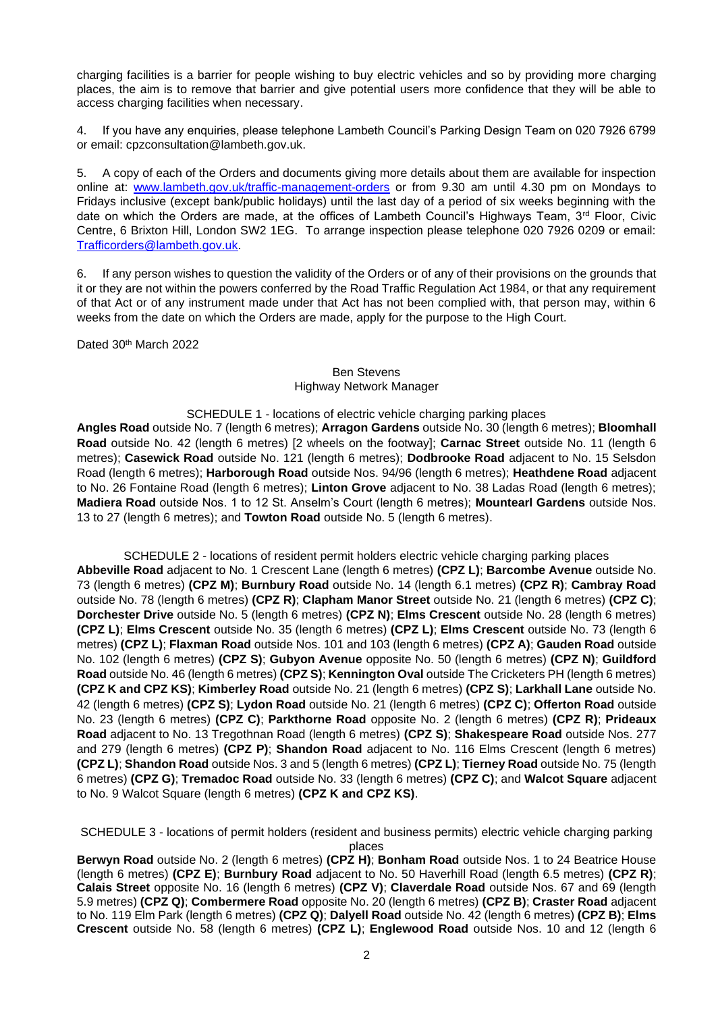charging facilities is a barrier for people wishing to buy electric vehicles and so by providing more charging places, the aim is to remove that barrier and give potential users more confidence that they will be able to access charging facilities when necessary.

4. If you have any enquiries, please telephone Lambeth Council's Parking Design Team on 020 7926 6799 or email: cpzconsultation@lambeth.gov.uk.

5. A copy of each of the Orders and documents giving more details about them are available for inspection online at: [www.lambeth.gov.uk/traffic-management-orders](https://eur01.safelinks.protection.outlook.com/?url=http%3A%2F%2Fwww.lambeth.gov.uk%2Ftraffic-management-orders&data=04%7C01%7COlaseni.Koya%40projectcentre.co.uk%7Cd5f8781950a048ec7af708d920373c88%7C3734172ae82a4ac7a3d302949970d5e6%7C0%7C0%7C637576243876922729%7CUnknown%7CTWFpbGZsb3d8eyJWIjoiMC4wLjAwMDAiLCJQIjoiV2luMzIiLCJBTiI6Ik1haWwiLCJXVCI6Mn0%3D%7C1000&sdata=hVxBDylR23l17gzGaT54In5VIQzsdZEC%2Bk4eVUVOia8%3D&reserved=0) or from 9.30 am until 4.30 pm on Mondays to Fridays inclusive (except bank/public holidays) until the last day of a period of six weeks beginning with the date on which the Orders are made, at the offices of Lambeth Council's Highways Team, 3rd Floor, Civic Centre, 6 Brixton Hill, London SW2 1EG. To arrange inspection please telephone 020 7926 0209 or email: [Trafficorders@lambeth.gov.uk.](mailto:Trafficorders@lambeth.gov.uk)

6. If any person wishes to question the validity of the Orders or of any of their provisions on the grounds that it or they are not within the powers conferred by the Road Traffic Regulation Act 1984, or that any requirement of that Act or of any instrument made under that Act has not been complied with, that person may, within 6 weeks from the date on which the Orders are made, apply for the purpose to the High Court.

Dated 30th March 2022

## Ben Stevens Highway Network Manager

## SCHEDULE 1 - locations of electric vehicle charging parking places

**Angles Road** outside No. 7 (length 6 metres); **Arragon Gardens** outside No. 30 (length 6 metres); **Bloomhall Road** outside No. 42 (length 6 metres) [2 wheels on the footway]; **Carnac Street** outside No. 11 (length 6 metres); **Casewick Road** outside No. 121 (length 6 metres); **Dodbrooke Road** adjacent to No. 15 Selsdon Road (length 6 metres); **Harborough Road** outside Nos. 94/96 (length 6 metres); **Heathdene Road** adjacent to No. 26 Fontaine Road (length 6 metres); **Linton Grove** adjacent to No. 38 Ladas Road (length 6 metres); **Madiera Road** outside Nos. 1 to 12 St. Anselm's Court (length 6 metres); **Mountearl Gardens** outside Nos. 13 to 27 (length 6 metres); and **Towton Road** outside No. 5 (length 6 metres).

SCHEDULE 2 - locations of resident permit holders electric vehicle charging parking places

**Abbeville Road** adjacent to No. 1 Crescent Lane (length 6 metres) **(CPZ L)**; **Barcombe Avenue** outside No. 73 (length 6 metres) **(CPZ M)**; **Burnbury Road** outside No. 14 (length 6.1 metres) **(CPZ R)**; **Cambray Road**  outside No. 78 (length 6 metres) **(CPZ R)**; **Clapham Manor Street** outside No. 21 (length 6 metres) **(CPZ C)**; **Dorchester Drive** outside No. 5 (length 6 metres) **(CPZ N)**; **Elms Crescent** outside No. 28 (length 6 metres) **(CPZ L)**; **Elms Crescent** outside No. 35 (length 6 metres) **(CPZ L)**; **Elms Crescent** outside No. 73 (length 6 metres) **(CPZ L)**; **Flaxman Road** outside Nos. 101 and 103 (length 6 metres) **(CPZ A)**; **Gauden Road** outside No. 102 (length 6 metres) **(CPZ S)**; **Gubyon Avenue** opposite No. 50 (length 6 metres) **(CPZ N)**; **Guildford Road** outside No. 46 (length 6 metres) **(CPZ S)**; **Kennington Oval** outside The Cricketers PH (length 6 metres) **(CPZ K and CPZ KS)**; **Kimberley Road** outside No. 21 (length 6 metres) **(CPZ S)**; **Larkhall Lane** outside No. 42 (length 6 metres) **(CPZ S)**; **Lydon Road** outside No. 21 (length 6 metres) **(CPZ C)**; **Offerton Road** outside No. 23 (length 6 metres) **(CPZ C)**; **Parkthorne Road** opposite No. 2 (length 6 metres) **(CPZ R)**; **Prideaux Road** adjacent to No. 13 Tregothnan Road (length 6 metres) **(CPZ S)**; **Shakespeare Road** outside Nos. 277 and 279 (length 6 metres) **(CPZ P)**; **Shandon Road** adjacent to No. 116 Elms Crescent (length 6 metres) **(CPZ L)**; **Shandon Road** outside Nos. 3 and 5 (length 6 metres) **(CPZ L)**; **Tierney Road** outside No. 75 (length 6 metres) **(CPZ G)**; **Tremadoc Road** outside No. 33 (length 6 metres) **(CPZ C)**; and **Walcot Square** adjacent to No. 9 Walcot Square (length 6 metres) **(CPZ K and CPZ KS)**.

SCHEDULE 3 - locations of permit holders (resident and business permits) electric vehicle charging parking places

**Berwyn Road** outside No. 2 (length 6 metres) **(CPZ H)**; **Bonham Road** outside Nos. 1 to 24 Beatrice House (length 6 metres) **(CPZ E)**; **Burnbury Road** adjacent to No. 50 Haverhill Road (length 6.5 metres) **(CPZ R)**; **Calais Street** opposite No. 16 (length 6 metres) **(CPZ V)**; **Claverdale Road** outside Nos. 67 and 69 (length 5.9 metres) **(CPZ Q)**; **Combermere Road** opposite No. 20 (length 6 metres) **(CPZ B)**; **Craster Road** adjacent to No. 119 Elm Park (length 6 metres) **(CPZ Q)**; **Dalyell Road** outside No. 42 (length 6 metres) **(CPZ B)**; **Elms Crescent** outside No. 58 (length 6 metres) **(CPZ L)**; **Englewood Road** outside Nos. 10 and 12 (length 6